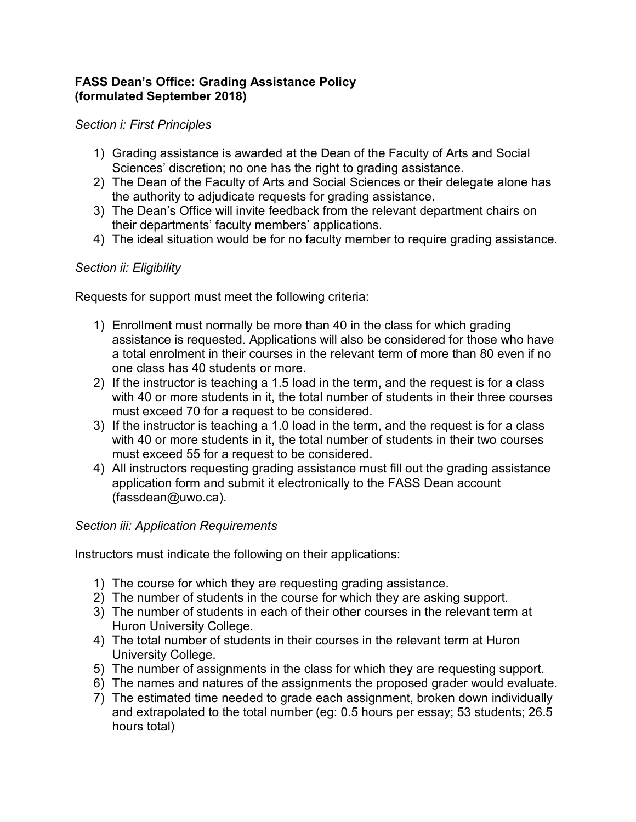# **FASS Dean's Office: Grading Assistance Policy (formulated September 2018)**

### *Section i: First Principles*

- 1) Grading assistance is awarded at the Dean of the Faculty of Arts and Social Sciences' discretion; no one has the right to grading assistance.
- 2) The Dean of the Faculty of Arts and Social Sciences or their delegate alone has the authority to adjudicate requests for grading assistance.
- 3) The Dean's Office will invite feedback from the relevant department chairs on their departments' faculty members' applications.
- 4) The ideal situation would be for no faculty member to require grading assistance.

# *Section ii: Eligibility*

Requests for support must meet the following criteria:

- 1) Enrollment must normally be more than 40 in the class for which grading assistance is requested. Applications will also be considered for those who have a total enrolment in their courses in the relevant term of more than 80 even if no one class has 40 students or more.
- 2) If the instructor is teaching a 1.5 load in the term, and the request is for a class with 40 or more students in it, the total number of students in their three courses must exceed 70 for a request to be considered.
- 3) If the instructor is teaching a 1.0 load in the term, and the request is for a class with 40 or more students in it, the total number of students in their two courses must exceed 55 for a request to be considered.
- 4) All instructors requesting grading assistance must fill out the grading assistance application form and submit it electronically to the FASS Dean account (fassdean@uwo.ca).

# *Section iii: Application Requirements*

Instructors must indicate the following on their applications:

- 1) The course for which they are requesting grading assistance.
- 2) The number of students in the course for which they are asking support.
- 3) The number of students in each of their other courses in the relevant term at Huron University College.
- 4) The total number of students in their courses in the relevant term at Huron University College.
- 5) The number of assignments in the class for which they are requesting support.
- 6) The names and natures of the assignments the proposed grader would evaluate.
- 7) The estimated time needed to grade each assignment, broken down individually and extrapolated to the total number (eg: 0.5 hours per essay; 53 students; 26.5 hours total)